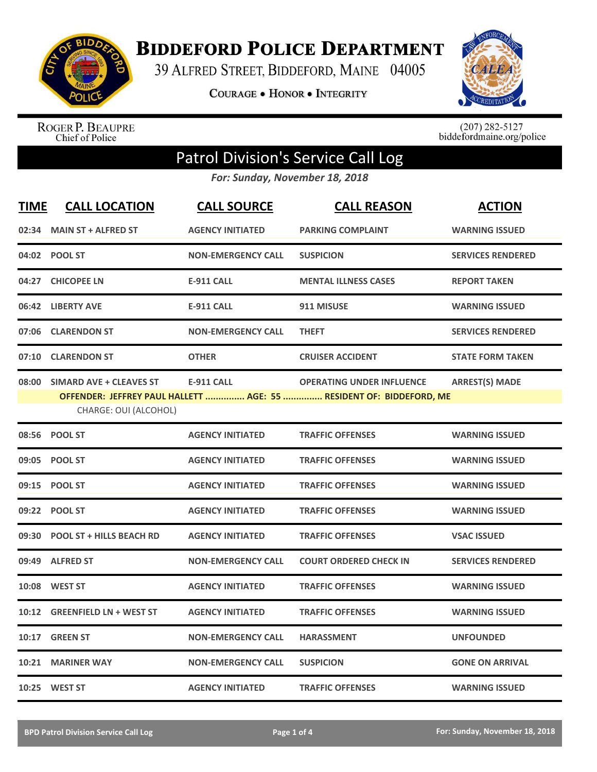

**BIDDEFORD POLICE DEPARTMENT** 

39 ALFRED STREET, BIDDEFORD, MAINE 04005

**COURAGE . HONOR . INTEGRITY** 



ROGER P. BEAUPRE<br>Chief of Police

 $(207)$  282-5127<br>biddefordmaine.org/police

## Patrol Division's Service Call Log

*For: Sunday, November 18, 2018*

| <b>TIME</b> | <b>CALL LOCATION</b>                                   | <b>CALL SOURCE</b>        | <b>CALL REASON</b>                                                                                      | <b>ACTION</b>            |
|-------------|--------------------------------------------------------|---------------------------|---------------------------------------------------------------------------------------------------------|--------------------------|
| 02:34       | <b>MAIN ST + ALFRED ST</b>                             | <b>AGENCY INITIATED</b>   | <b>PARKING COMPLAINT</b>                                                                                | <b>WARNING ISSUED</b>    |
|             | 04:02 POOL ST                                          | <b>NON-EMERGENCY CALL</b> | <b>SUSPICION</b>                                                                                        | <b>SERVICES RENDERED</b> |
| 04:27       | <b>CHICOPEE LN</b>                                     | <b>E-911 CALL</b>         | <b>MENTAL ILLNESS CASES</b>                                                                             | <b>REPORT TAKEN</b>      |
|             | 06:42 LIBERTY AVE                                      | <b>E-911 CALL</b>         | 911 MISUSE                                                                                              | <b>WARNING ISSUED</b>    |
|             | 07:06 CLARENDON ST                                     | <b>NON-EMERGENCY CALL</b> | <b>THEFT</b>                                                                                            | <b>SERVICES RENDERED</b> |
| 07:10       | <b>CLARENDON ST</b>                                    | <b>OTHER</b>              | <b>CRUISER ACCIDENT</b>                                                                                 | <b>STATE FORM TAKEN</b>  |
|             | 08:00 SIMARD AVE + CLEAVES ST<br>CHARGE: OUI (ALCOHOL) | <b>E-911 CALL</b>         | <b>OPERATING UNDER INFLUENCE</b><br>OFFENDER: JEFFREY PAUL HALLETT  AGE: 55  RESIDENT OF: BIDDEFORD, ME | <b>ARREST(S) MADE</b>    |
|             | 08:56 POOL ST                                          | <b>AGENCY INITIATED</b>   | <b>TRAFFIC OFFENSES</b>                                                                                 | <b>WARNING ISSUED</b>    |
| 09:05       | <b>POOL ST</b>                                         | <b>AGENCY INITIATED</b>   | <b>TRAFFIC OFFENSES</b>                                                                                 | <b>WARNING ISSUED</b>    |
|             | 09:15 POOL ST                                          | <b>AGENCY INITIATED</b>   | <b>TRAFFIC OFFENSES</b>                                                                                 | <b>WARNING ISSUED</b>    |
| 09:22       | <b>POOL ST</b>                                         | <b>AGENCY INITIATED</b>   | <b>TRAFFIC OFFENSES</b>                                                                                 | <b>WARNING ISSUED</b>    |
| 09:30       | <b>POOL ST + HILLS BEACH RD</b>                        | <b>AGENCY INITIATED</b>   | <b>TRAFFIC OFFENSES</b>                                                                                 | <b>VSAC ISSUED</b>       |
| 09:49       | <b>ALFRED ST</b>                                       | <b>NON-EMERGENCY CALL</b> | <b>COURT ORDERED CHECK IN</b>                                                                           | <b>SERVICES RENDERED</b> |
| 10:08       | <b>WEST ST</b>                                         | <b>AGENCY INITIATED</b>   | <b>TRAFFIC OFFENSES</b>                                                                                 | <b>WARNING ISSUED</b>    |
| 10:12       | <b>GREENFIELD LN + WEST ST</b>                         | <b>AGENCY INITIATED</b>   | <b>TRAFFIC OFFENSES</b>                                                                                 | <b>WARNING ISSUED</b>    |
| 10:17       | <b>GREEN ST</b>                                        | <b>NON-EMERGENCY CALL</b> | <b>HARASSMENT</b>                                                                                       | <b>UNFOUNDED</b>         |
| 10:21       | <b>MARINER WAY</b>                                     | <b>NON-EMERGENCY CALL</b> | <b>SUSPICION</b>                                                                                        | <b>GONE ON ARRIVAL</b>   |
|             | 10:25 WEST ST                                          | <b>AGENCY INITIATED</b>   | <b>TRAFFIC OFFENSES</b>                                                                                 | <b>WARNING ISSUED</b>    |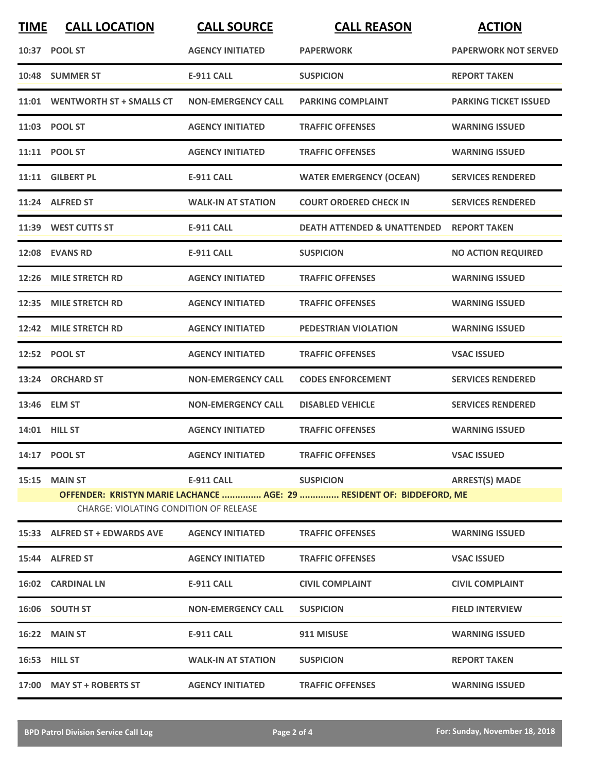| <b>TIME</b>                                                                                                            | <b>CALL LOCATION</b>           | <b>CALL SOURCE</b>        | <b>CALL REASON</b>                                  | <b>ACTION</b>                |  |
|------------------------------------------------------------------------------------------------------------------------|--------------------------------|---------------------------|-----------------------------------------------------|------------------------------|--|
|                                                                                                                        | 10:37 POOL ST                  | <b>AGENCY INITIATED</b>   | <b>PAPERWORK</b>                                    | <b>PAPERWORK NOT SERVED</b>  |  |
|                                                                                                                        | 10:48 SUMMER ST                | <b>E-911 CALL</b>         | <b>SUSPICION</b>                                    | <b>REPORT TAKEN</b>          |  |
|                                                                                                                        | 11:01 WENTWORTH ST + SMALLS CT | <b>NON-EMERGENCY CALL</b> | <b>PARKING COMPLAINT</b>                            | <b>PARKING TICKET ISSUED</b> |  |
|                                                                                                                        | 11:03 POOL ST                  | <b>AGENCY INITIATED</b>   | <b>TRAFFIC OFFENSES</b>                             | <b>WARNING ISSUED</b>        |  |
|                                                                                                                        | 11:11 POOL ST                  | <b>AGENCY INITIATED</b>   | <b>TRAFFIC OFFENSES</b>                             | <b>WARNING ISSUED</b>        |  |
|                                                                                                                        | 11:11 GILBERT PL               | <b>E-911 CALL</b>         | <b>WATER EMERGENCY (OCEAN)</b>                      | <b>SERVICES RENDERED</b>     |  |
|                                                                                                                        | 11:24 ALFRED ST                | <b>WALK-IN AT STATION</b> | <b>COURT ORDERED CHECK IN</b>                       | <b>SERVICES RENDERED</b>     |  |
|                                                                                                                        | 11:39 WEST CUTTS ST            | <b>E-911 CALL</b>         | <b>DEATH ATTENDED &amp; UNATTENDED REPORT TAKEN</b> |                              |  |
|                                                                                                                        | 12:08 EVANS RD                 | <b>E-911 CALL</b>         | <b>SUSPICION</b>                                    | <b>NO ACTION REQUIRED</b>    |  |
|                                                                                                                        | 12:26 MILE STRETCH RD          | <b>AGENCY INITIATED</b>   | <b>TRAFFIC OFFENSES</b>                             | <b>WARNING ISSUED</b>        |  |
|                                                                                                                        | 12:35 MILE STRETCH RD          | <b>AGENCY INITIATED</b>   | <b>TRAFFIC OFFENSES</b>                             | <b>WARNING ISSUED</b>        |  |
|                                                                                                                        | 12:42 MILE STRETCH RD          | <b>AGENCY INITIATED</b>   | PEDESTRIAN VIOLATION                                | <b>WARNING ISSUED</b>        |  |
|                                                                                                                        | 12:52 POOL ST                  | <b>AGENCY INITIATED</b>   | <b>TRAFFIC OFFENSES</b>                             | <b>VSAC ISSUED</b>           |  |
|                                                                                                                        | 13:24 ORCHARD ST               | <b>NON-EMERGENCY CALL</b> | <b>CODES ENFORCEMENT</b>                            | <b>SERVICES RENDERED</b>     |  |
|                                                                                                                        | 13:46 ELM ST                   | <b>NON-EMERGENCY CALL</b> | <b>DISABLED VEHICLE</b>                             | <b>SERVICES RENDERED</b>     |  |
|                                                                                                                        | 14:01 HILL ST                  | <b>AGENCY INITIATED</b>   | <b>TRAFFIC OFFENSES</b>                             | <b>WARNING ISSUED</b>        |  |
|                                                                                                                        | 14:17 POOL ST                  | <b>AGENCY INITIATED</b>   | <b>TRAFFIC OFFENSES</b>                             | <b>VSAC ISSUED</b>           |  |
|                                                                                                                        | 15:15 MAIN ST                  | E-911 CALL                | <b>SUSPICION</b>                                    | <b>ARREST(S) MADE</b>        |  |
| OFFENDER: KRISTYN MARIE LACHANCE  AGE: 29  RESIDENT OF: BIDDEFORD, ME<br><b>CHARGE: VIOLATING CONDITION OF RELEASE</b> |                                |                           |                                                     |                              |  |
|                                                                                                                        | 15:33 ALFRED ST + EDWARDS AVE  | <b>AGENCY INITIATED</b>   | <b>TRAFFIC OFFENSES</b>                             | <b>WARNING ISSUED</b>        |  |
|                                                                                                                        | 15:44 ALFRED ST                | <b>AGENCY INITIATED</b>   | <b>TRAFFIC OFFENSES</b>                             | <b>VSAC ISSUED</b>           |  |
|                                                                                                                        | 16:02 CARDINAL LN              | E-911 CALL                | <b>CIVIL COMPLAINT</b>                              | <b>CIVIL COMPLAINT</b>       |  |
|                                                                                                                        | 16:06 SOUTH ST                 | <b>NON-EMERGENCY CALL</b> | <b>SUSPICION</b>                                    | <b>FIELD INTERVIEW</b>       |  |
|                                                                                                                        | 16:22 MAIN ST                  | E-911 CALL                | 911 MISUSE                                          | <b>WARNING ISSUED</b>        |  |
|                                                                                                                        | 16:53 HILL ST                  | <b>WALK-IN AT STATION</b> | <b>SUSPICION</b>                                    | <b>REPORT TAKEN</b>          |  |
|                                                                                                                        | 17:00 MAY ST + ROBERTS ST      | <b>AGENCY INITIATED</b>   | <b>TRAFFIC OFFENSES</b>                             | <b>WARNING ISSUED</b>        |  |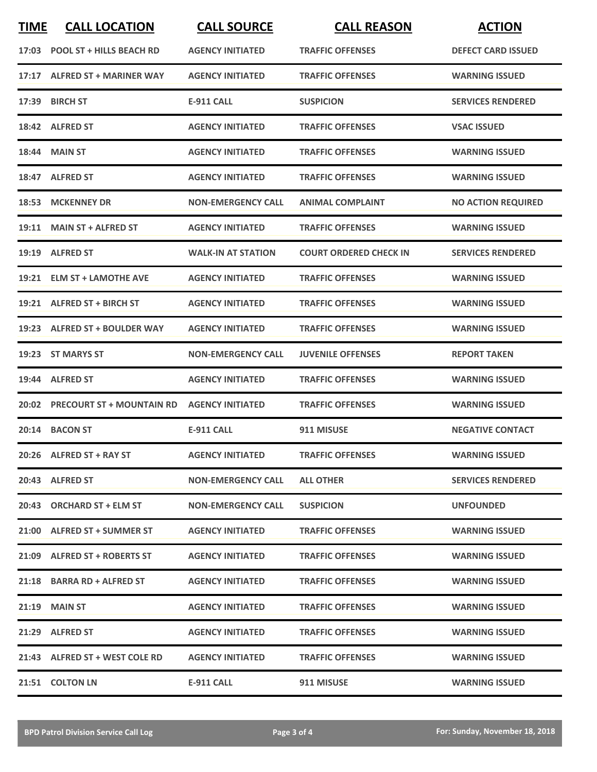| <b>TIME</b> | <b>CALL LOCATION</b>            | <b>CALL SOURCE</b>        | <b>CALL REASON</b>            | <b>ACTION</b>             |
|-------------|---------------------------------|---------------------------|-------------------------------|---------------------------|
|             | 17:03 POOL ST + HILLS BEACH RD  | <b>AGENCY INITIATED</b>   | <b>TRAFFIC OFFENSES</b>       | <b>DEFECT CARD ISSUED</b> |
|             | 17:17 ALFRED ST + MARINER WAY   | <b>AGENCY INITIATED</b>   | <b>TRAFFIC OFFENSES</b>       | <b>WARNING ISSUED</b>     |
| 17:39       | <b>BIRCH ST</b>                 | <b>E-911 CALL</b>         | <b>SUSPICION</b>              | <b>SERVICES RENDERED</b>  |
|             | 18:42 ALFRED ST                 | <b>AGENCY INITIATED</b>   | <b>TRAFFIC OFFENSES</b>       | <b>VSAC ISSUED</b>        |
|             | <b>18:44 MAIN ST</b>            | <b>AGENCY INITIATED</b>   | <b>TRAFFIC OFFENSES</b>       | <b>WARNING ISSUED</b>     |
|             | 18:47 ALFRED ST                 | <b>AGENCY INITIATED</b>   | <b>TRAFFIC OFFENSES</b>       | <b>WARNING ISSUED</b>     |
| 18:53       | <b>MCKENNEY DR</b>              | <b>NON-EMERGENCY CALL</b> | <b>ANIMAL COMPLAINT</b>       | <b>NO ACTION REQUIRED</b> |
| 19:11       | <b>MAIN ST + ALFRED ST</b>      | <b>AGENCY INITIATED</b>   | <b>TRAFFIC OFFENSES</b>       | <b>WARNING ISSUED</b>     |
|             | 19:19 ALFRED ST                 | <b>WALK-IN AT STATION</b> | <b>COURT ORDERED CHECK IN</b> | <b>SERVICES RENDERED</b>  |
|             | 19:21 ELM ST + LAMOTHE AVE      | <b>AGENCY INITIATED</b>   | <b>TRAFFIC OFFENSES</b>       | <b>WARNING ISSUED</b>     |
|             | 19:21 ALFRED ST + BIRCH ST      | <b>AGENCY INITIATED</b>   | <b>TRAFFIC OFFENSES</b>       | <b>WARNING ISSUED</b>     |
|             | 19:23 ALFRED ST + BOULDER WAY   | <b>AGENCY INITIATED</b>   | <b>TRAFFIC OFFENSES</b>       | <b>WARNING ISSUED</b>     |
|             | 19:23 ST MARYS ST               | <b>NON-EMERGENCY CALL</b> | <b>JUVENILE OFFENSES</b>      | <b>REPORT TAKEN</b>       |
| 19:44       | <b>ALFRED ST</b>                | <b>AGENCY INITIATED</b>   | <b>TRAFFIC OFFENSES</b>       | <b>WARNING ISSUED</b>     |
|             | 20:02 PRECOURT ST + MOUNTAIN RD | <b>AGENCY INITIATED</b>   | <b>TRAFFIC OFFENSES</b>       | <b>WARNING ISSUED</b>     |
|             | 20:14 BACON ST                  | <b>E-911 CALL</b>         | 911 MISUSE                    | <b>NEGATIVE CONTACT</b>   |
|             | 20:26 ALFRED ST + RAY ST        | <b>AGENCY INITIATED</b>   | <b>TRAFFIC OFFENSES</b>       | <b>WARNING ISSUED</b>     |
|             | 20:43 ALFRED ST                 | <b>NON-EMERGENCY CALL</b> | <b>ALL OTHER</b>              | <b>SERVICES RENDERED</b>  |
|             | 20:43 ORCHARD ST + ELM ST       | <b>NON-EMERGENCY CALL</b> | <b>SUSPICION</b>              | <b>UNFOUNDED</b>          |
|             | 21:00 ALFRED ST + SUMMER ST     | <b>AGENCY INITIATED</b>   | <b>TRAFFIC OFFENSES</b>       | <b>WARNING ISSUED</b>     |
|             | 21:09 ALFRED ST + ROBERTS ST    | <b>AGENCY INITIATED</b>   | <b>TRAFFIC OFFENSES</b>       | <b>WARNING ISSUED</b>     |
|             | 21:18 BARRA RD + ALFRED ST      | <b>AGENCY INITIATED</b>   | <b>TRAFFIC OFFENSES</b>       | <b>WARNING ISSUED</b>     |
|             | $21:19$ MAIN ST                 | <b>AGENCY INITIATED</b>   | <b>TRAFFIC OFFENSES</b>       | <b>WARNING ISSUED</b>     |
|             | 21:29 ALFRED ST                 | <b>AGENCY INITIATED</b>   | <b>TRAFFIC OFFENSES</b>       | <b>WARNING ISSUED</b>     |
|             | 21:43 ALFRED ST + WEST COLE RD  | <b>AGENCY INITIATED</b>   | <b>TRAFFIC OFFENSES</b>       | <b>WARNING ISSUED</b>     |
|             | 21:51 COLTON LN                 | E-911 CALL                | 911 MISUSE                    | <b>WARNING ISSUED</b>     |